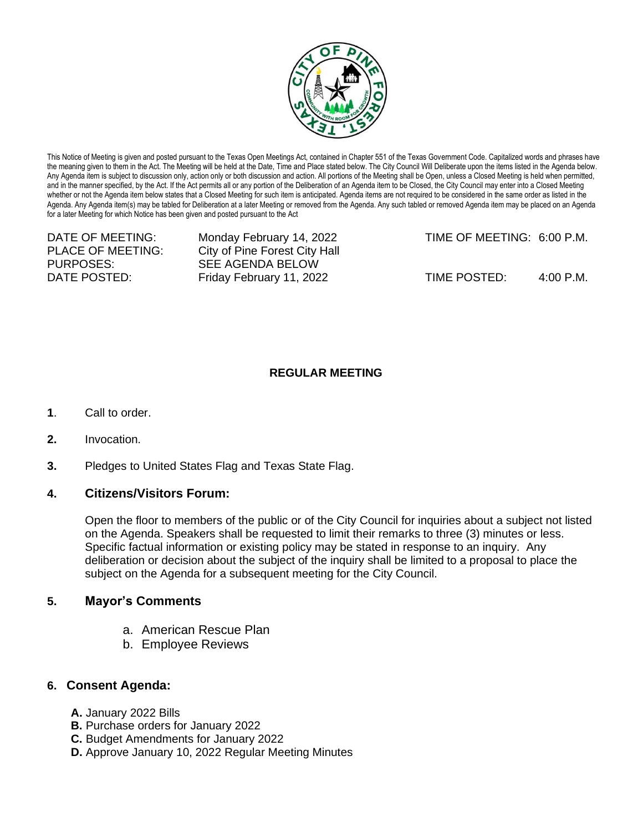

This Notice of Meeting is given and posted pursuant to the Texas Open Meetings Act, contained in Chapter 551 of the Texas Government Code. Capitalized words and phrases have the meaning given to them in the Act. The Meeting will be held at the Date, Time and Place stated below. The City Council Will Deliberate upon the items listed in the Agenda below. Any Agenda item is subject to discussion only, action only or both discussion and action. All portions of the Meeting shall be Open, unless a Closed Meeting is held when permitted, and in the manner specified, by the Act. If the Act permits all or any portion of the Deliberation of an Agenda item to be Closed, the City Council may enter into a Closed Meeting whether or not the Agenda item below states that a Closed Meeting for such item is anticipated. Agenda items are not required to be considered in the same order as listed in the Agenda. Any Agenda item(s) may be tabled for Deliberation at a later Meeting or removed from the Agenda. Any such tabled or removed Agenda item may be placed on an Agenda for a later Meeting for which Notice has been given and posted pursuant to the Act

PURPOSES: SEE AGENDA BELOW

PLACE OF MEETING: City of Pine Forest City Hall

DATE OF MEETING: Monday February 14, 2022 TIME OF MEETING: 6:00 P.M.

DATE POSTED: Friday February 11, 2022 TIME POSTED: 4:00 P.M.

## **REGULAR MEETING**

- **1**. Call to order.
- **2.** Invocation.
- **3.** Pledges to United States Flag and Texas State Flag.

## **4. Citizens/Visitors Forum:**

Open the floor to members of the public or of the City Council for inquiries about a subject not listed on the Agenda. Speakers shall be requested to limit their remarks to three (3) minutes or less. Specific factual information or existing policy may be stated in response to an inquiry. Any deliberation or decision about the subject of the inquiry shall be limited to a proposal to place the subject on the Agenda for a subsequent meeting for the City Council.

## **5. Mayor's Comments**

- a. American Rescue Plan
- b. Employee Reviews

## **6. Consent Agenda:**

- **A.** January 2022 Bills
- **B.** Purchase orders for January 2022
- **C.** Budget Amendments for January 2022
- **D.** Approve January 10, 2022 Regular Meeting Minutes